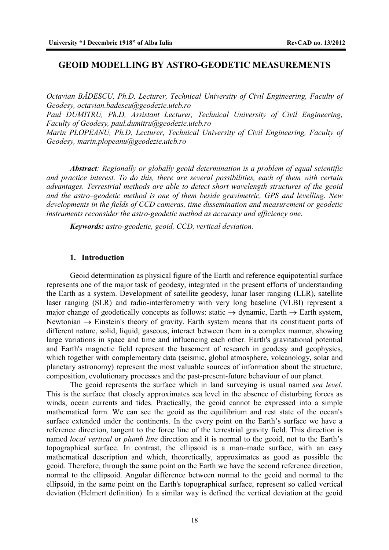# **GEOID MODELLING BY ASTRO-GEODETIC MEASUREMENTS**

*Octavian BĂDESCU, Ph.D, Lecturer, Technical University of Civil Engineering, Faculty of Geodesy, octavian.badescu@geodezie.utcb.ro*

*Paul DUMITRU, Ph.D, Assistant Lecturer, Technical University of Civil Engineering, Faculty of Geodesy, paul.dumitru@geodezie.utcb.ro* 

*Marin PLOPEANU, Ph.D, Lecturer, Technical University of Civil Engineering, Faculty of Geodesy, marin.plopeanu@geodezie.utcb.ro*

*Abstract: Regionally or globally geoid determination is a problem of equal scientific and practice interest. To do this, there are several possibilities, each of them with certain advantages. Terrestrial methods are able to detect short wavelength structures of the geoid and the astro–geodetic method is one of them beside gravimetric, GPS and levelling. New developments in the fields of CCD cameras, time dissemination and measurement or geodetic instruments reconsider the astro-geodetic method as accuracy and efficiency one.*

*Keywords: astro-geodetic, geoid, CCD, vertical deviation.* 

### **1. Introduction**

Geoid determination as physical figure of the Earth and reference equipotential surface represents one of the major task of geodesy, integrated in the present efforts of understanding the Earth as a system. Development of satellite geodesy, lunar laser ranging (LLR), satellite laser ranging (SLR) and radio-interferometry with very long baseline (VLBI) represent a major change of geodetically concepts as follows: static  $\rightarrow$  dynamic, Earth  $\rightarrow$  Earth system, Newtonian  $\rightarrow$  Einstein's theory of gravity. Earth system means that its constituent parts of different nature, solid, liquid, gaseous, interact between them in a complex manner, showing large variations in space and time and influencing each other. Earth's gravitational potential and Earth's magnetic field represent the basement of research in geodesy and geophysics, which together with complementary data (seismic, global atmosphere, volcanology, solar and planetary astronomy) represent the most valuable sources of information about the structure, composition, evolutionary processes and the past-present-future behaviour of our planet.

The geoid represents the surface which in land surveying is usual named *sea level*. This is the surface that closely approximates sea level in the absence of disturbing forces as winds, ocean currents and tides. Practically, the geoid cannot be expressed into a simple mathematical form. We can see the geoid as the equilibrium and rest state of the ocean's surface extended under the continents. In the every point on the Earth's surface we have a reference direction, tangent to the force line of the terrestrial gravity field. This direction is named *local vertical* or *plumb line* direction and it is normal to the geoid, not to the Earth's topographical surface. In contrast, the ellipsoid is a man–made surface, with an easy mathematical description and which, theoretically, approximates as good as possible the geoid. Therefore, through the same point on the Earth we have the second reference direction, normal to the ellipsoid. Angular difference between normal to the geoid and normal to the ellipsoid, in the same point on the Earth's topographical surface, represent so called vertical deviation (Helmert definition). In a similar way is defined the vertical deviation at the geoid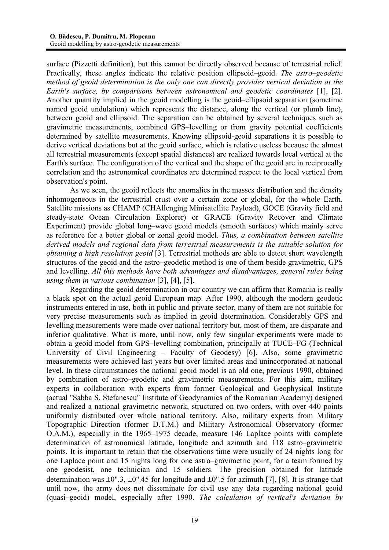surface (Pizzetti definition), but this cannot be directly observed because of terrestrial relief. Practically, these angles indicate the relative position ellipsoid–geoid. *The astro–geodetic method of geoid determination is the only one can directly provides vertical deviation at the Earth's surface, by comparisons between astronomical and geodetic coordinates* [1], [2]. Another quantity implied in the geoid modelling is the geoid–ellipsoid separation (sometime named geoid undulation) which represents the distance, along the vertical (or plumb line), between geoid and ellipsoid. The separation can be obtained by several techniques such as gravimetric measurements, combined GPS–levelling or from gravity potential coefficients determined by satellite measurements. Knowing ellipsoid-geoid separations it is possible to derive vertical deviations but at the geoid surface, which is relative useless because the almost all terrestrial measurements (except spatial distances) are realized towards local vertical at the Earth's surface. The configuration of the vertical and the shape of the geoid are in reciprocally correlation and the astronomical coordinates are determined respect to the local vertical from observation's point.

As we seen, the geoid reflects the anomalies in the masses distribution and the density inhomogeneous in the terrestrial crust over a certain zone or global, for the whole Earth. Satellite missions as CHAMP (CHAllenging Minisatellite Payload), GOCE (Gravity field and steady-state Ocean Circulation Explorer) or GRACE (Gravity Recover and Climate Experiment) provide global long–wave geoid models (smooth surfaces) which mainly serve as reference for a better global or zonal geoid model. *Thus, a combination between satellite derived models and regional data from terrestrial measurements is the suitable solution for obtaining a high resolution geoid* [3]. Terrestrial methods are able to detect short wavelength structures of the geoid and the astro–geodetic method is one of them beside gravimetric, GPS and levelling. *All this methods have both advantages and disadvantages, general rules being using them in various combination* [3], [4], [5].

Regarding the geoid determination in our country we can affirm that Romania is really a black spot on the actual geoid European map. After 1990, although the modern geodetic instruments entered in use, both in public and private sector, many of them are not suitable for very precise measurements such as implied in geoid determination. Considerably GPS and levelling measurements were made over national territory but, most of them, are disparate and inferior qualitative. What is more, until now, only few singular experiments were made to obtain a geoid model from GPS–levelling combination, principally at TUCE–FG (Technical University of Civil Engineering – Faculty of Geodesy) [6]. Also, some gravimetric measurements were achieved last years but over limited areas and unincorporated at national level. In these circumstances the national geoid model is an old one, previous 1990, obtained by combination of astro–geodetic and gravimetric measurements. For this aim, military experts in collaboration with experts from former Geological and Geophysical Institute (actual ''Sabba S. Stefanescu" Institute of Geodynamics of the Romanian Academy) designed and realized a national gravimetric network, structured on two orders, with over 440 points uniformly distributed over whole national territory. Also, military experts from Military Topographic Direction (former D.T.M.) and Military Astronomical Observatory (former O.A.M.), especially in the 1965–1975 decade, measure 146 Laplace points with complete determination of astronomical latitude, longitude and azimuth and 118 astro–gravimetric points. It is important to retain that the observations time were usually of 24 nights long for one Laplace point and 15 nights long for one astro–gravimetric point, for a team formed by one geodesist, one technician and 15 soldiers. The precision obtained for latitude determination was  $\pm 0$ ".3,  $\pm 0$ ".45 for longitude and  $\pm 0$ ".5 for azimuth [7], [8]. It is strange that until now, the army does not disseminate for civil use any data regarding national geoid (quasi–geoid) model, especially after 1990. *The calculation of vertical's deviation by*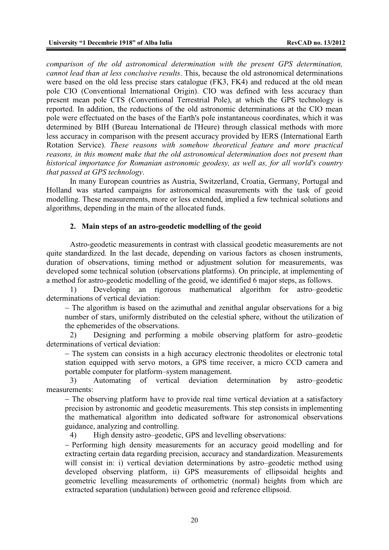*comparison of the old astronomical determination with the present GPS determination, cannot lead than at less conclusive results*. This, because the old astronomical determinations were based on the old less precise stars catalogue (FK3, FK4) and reduced at the old mean pole CIO (Conventional International Origin). CIO was defined with less accuracy than present mean pole CTS (Conventional Terrestrial Pole), at which the GPS technology is reported. In addition, the reductions of the old astronomic determinations at the CIO mean pole were effectuated on the bases of the Earth's pole instantaneous coordinates, which it was determined by BIH (Bureau International de l'Heure) through classical methods with more less accuracy in comparison with the present accuracy provided by IERS (International Earth Rotation Service). *These reasons with somehow theoretical feature and more practical reasons, in this moment make that the old astronomical determination does not present than historical importance for Romanian astronomic geodesy, as well as, for all world's country that passed at GPS technology*.

In many European countries as Austria, Switzerland, Croatia, Germany, Portugal and Holland was started campaigns for astronomical measurements with the task of geoid modelling. These measurements, more or less extended, implied a few technical solutions and algorithms, depending in the main of the allocated funds.

### **2. Main steps of an astro-geodetic modelling of the geoid**

Astro-geodetic measurements in contrast with classical geodetic measurements are not quite standardized. In the last decade, depending on various factors as chosen instruments, duration of observations, timing method or adjustment solution for measurements, was developed some technical solution (observations platforms). On principle, at implementing of a method for astro-geodetic modelling of the geoid, we identified 6 major steps, as follows.

1) Developing an rigorous mathematical algorithm for astro–geodetic determinations of vertical deviation:

- The algorithm is based on the azimuthal and zenithal angular observations for a big number of stars, uniformly distributed on the celestial sphere, without the utilization of the ephemerides of the observations.

2) Designing and performing a mobile observing platform for astro–geodetic determinations of vertical deviation:

- The system can consists in a high accuracy electronic theodolites or electronic total station equipped with servo motors, a GPS time receiver, a micro CCD camera and portable computer for platform–system management.

3) Automating of vertical deviation determination by astro–geodetic measurements:

 $-$  The observing platform have to provide real time vertical deviation at a satisfactory precision by astronomic and geodetic measurements. This step consists in implementing the mathematical algorithm into dedicated software for astronomical observations guidance, analyzing and controlling.

4) High density astro–geodetic, GPS and levelling observations:

- Performing high density measurements for an accuracy geoid modelling and for extracting certain data regarding precision, accuracy and standardization. Measurements will consist in: i) vertical deviation determinations by astro–geodetic method using developed observing platform, ii) GPS measurements of ellipsoidal heights and geometric levelling measurements of orthometric (normal) heights from which are extracted separation (undulation) between geoid and reference ellipsoid.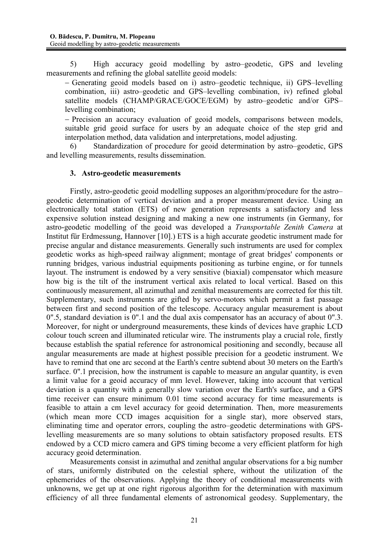5) High accuracy geoid modelling by astro–geodetic, GPS and leveling measurements and refining the global satellite geoid models:

 Generating geoid models based on i) astro–geodetic technique, ii) GPS–levelling combination, iii) astro–geodetic and GPS–levelling combination, iv) refined global satellite models (CHAMP/GRACE/GOCE/EGM) by astro–geodetic and/or GPS– levelling combination;

- Precision an accuracy evaluation of geoid models, comparisons between models, suitable grid geoid surface for users by an adequate choice of the step grid and interpolation method, data validation and interpretations, model adjusting.

6) Standardization of procedure for geoid determination by astro–geodetic, GPS and levelling measurements, results dissemination.

## **3. Astro-geodetic measurements**

Firstly, astro-geodetic geoid modelling supposes an algorithm/procedure for the astro– geodetic determination of vertical deviation and a proper measurement device. Using an electronically total station (ETS) of new generation represents a satisfactory and less expensive solution instead designing and making a new one instruments (in Germany, for astro-geodetic modelling of the geoid was developed a *Transportable Zenith Camera* at Institut für Erdmessung, Hannover [10].) ETS is a high accurate geodetic instrument made for precise angular and distance measurements. Generally such instruments are used for complex geodetic works as high-speed railway alignment; montage of great bridges' components or running bridges, various industrial equipments positioning as turbine engine, or for tunnels layout. The instrument is endowed by a very sensitive (biaxial) compensator which measure how big is the tilt of the instrument vertical axis related to local vertical. Based on this continuously measurement, all azimuthal and zenithal measurements are corrected for this tilt. Supplementary, such instruments are gifted by servo-motors which permit a fast passage between first and second position of the telescope. Accuracy angular measurement is about 0".5, standard deviation is 0".1 and the dual axis compensator has an accuracy of about 0".3. Moreover, for night or underground measurements, these kinds of devices have graphic LCD colour touch screen and illuminated reticular wire. The instruments play a crucial role, firstly because establish the spatial reference for astronomical positioning and secondly, because all angular measurements are made at highest possible precision for a geodetic instrument. We have to remind that one arc second at the Earth's centre subtend about 30 meters on the Earth's surface. 0".1 precision, how the instrument is capable to measure an angular quantity, is even a limit value for a geoid accuracy of mm level. However, taking into account that vertical deviation is a quantity with a generally slow variation over the Earth's surface, and a GPS time receiver can ensure minimum 0.01 time second accuracy for time measurements is feasible to attain a cm level accuracy for geoid determination. Then, more measurements (which mean more CCD images acquisition for a single star), more observed stars, eliminating time and operator errors, coupling the astro–geodetic determinations with GPSlevelling measurements are so many solutions to obtain satisfactory proposed results. ETS endowed by a CCD micro camera and GPS timing become a very efficient platform for high accuracy geoid determination.

Measurements consist in azimuthal and zenithal angular observations for a big number of stars, uniformly distributed on the celestial sphere, without the utilization of the ephemerides of the observations. Applying the theory of conditional measurements with unknowns, we get up at one right rigorous algorithm for the determination with maximum efficiency of all three fundamental elements of astronomical geodesy. Supplementary, the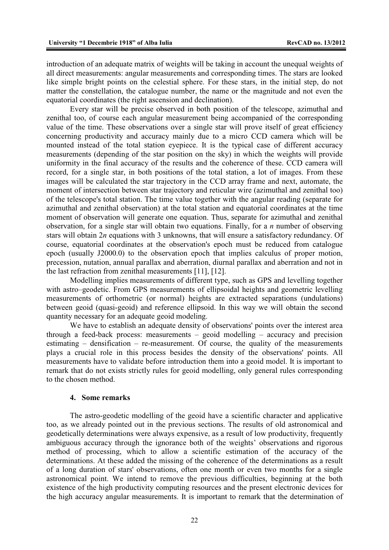introduction of an adequate matrix of weights will be taking in account the unequal weights of all direct measurements: angular measurements and corresponding times. The stars are looked like simple bright points on the celestial sphere. For these stars, in the initial step, do not matter the constellation, the catalogue number, the name or the magnitude and not even the equatorial coordinates (the right ascension and declination).

Every star will be precise observed in both position of the telescope, azimuthal and zenithal too, of course each angular measurement being accompanied of the corresponding value of the time. These observations over a single star will prove itself of great efficiency concerning productivity and accuracy mainly due to a micro CCD camera which will be mounted instead of the total station eyepiece. It is the typical case of different accuracy measurements (depending of the star position on the sky) in which the weights will provide uniformity in the final accuracy of the results and the coherence of these. CCD camera will record, for a single star, in both positions of the total station, a lot of images. From these images will be calculated the star trajectory in the CCD array frame and next, automate, the moment of intersection between star trajectory and reticular wire (azimuthal and zenithal too) of the telescope's total station. The time value together with the angular reading (separate for azimuthal and zenithal observation) at the total station and equatorial coordinates at the time moment of observation will generate one equation. Thus, separate for azimuthal and zenithal observation, for a single star will obtain two equations. Finally, for a *n* number of observing stars will obtain 2*n* equations with 3 unknowns, that will ensure a satisfactory redundancy. Of course, equatorial coordinates at the observation's epoch must be reduced from catalogue epoch (usually J2000.0) to the observation epoch that implies calculus of proper motion, precession, nutation, annual parallax and aberration, diurnal parallax and aberration and not in the last refraction from zenithal measurements [11], [12].

Modelling implies measurements of different type, such as GPS and levelling together with astro–geodetic. From GPS measurements of ellipsoidal heights and geometric levelling measurements of orthometric (or normal) heights are extracted separations (undulations) between geoid (quasi-geoid) and reference ellipsoid. In this way we will obtain the second quantity necessary for an adequate geoid modeling.

We have to establish an adequate density of observations' points over the interest area through a feed-back process: measurements – geoid modelling – accuracy and precision estimating – densification – re-measurement. Of course, the quality of the measurements plays a crucial role in this process besides the density of the observations' points. All measurements have to validate before introduction them into a geoid model. It is important to remark that do not exists strictly rules for geoid modelling, only general rules corresponding to the chosen method.

### **4. Some remarks**

The astro-geodetic modelling of the geoid have a scientific character and applicative too, as we already pointed out in the previous sections. The results of old astronomical and geodetically determinations were always expensive, as a result of low productivity, frequently ambiguous accuracy through the ignorance both of the weights' observations and rigorous method of processing, which to allow a scientific estimation of the accuracy of the determinations. At these added the missing of the coherence of the determinations as a result of a long duration of stars' observations, often one month or even two months for a single astronomical point. We intend to remove the previous difficulties, beginning at the both existence of the high productivity computing resources and the present electronic devices for the high accuracy angular measurements. It is important to remark that the determination of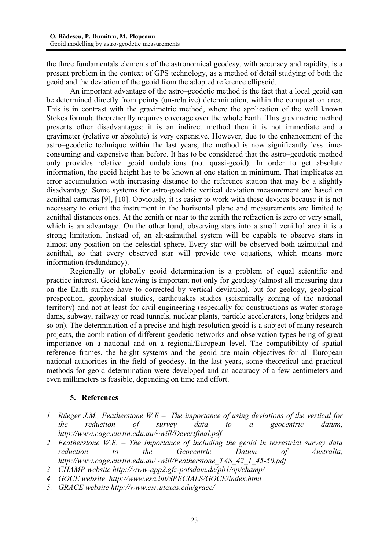the three fundamentals elements of the astronomical geodesy, with accuracy and rapidity, is a present problem in the context of GPS technology, as a method of detail studying of both the geoid and the deviation of the geoid from the adopted reference ellipsoid.

An important advantage of the astro–geodetic method is the fact that a local geoid can be determined directly from pointy (un-relative) determination, within the computation area. This is in contrast with the gravimetric method, where the application of the well known Stokes formula theoretically requires coverage over the whole Earth. This gravimetric method presents other disadvantages: it is an indirect method then it is not immediate and a gravimeter (relative or absolute) is very expensive. However, due to the enhancement of the astro–geodetic technique within the last years, the method is now significantly less timeconsuming and expensive than before. It has to be considered that the astro–geodetic method only provides relative geoid undulations (not quasi-geoid). In order to get absolute information, the geoid height has to be known at one station in minimum. That implicates an error accumulation with increasing distance to the reference station that may be a slightly disadvantage. Some systems for astro-geodetic vertical deviation measurement are based on zenithal cameras [9], [10]. Obviously, it is easier to work with these devices because it is not necessary to orient the instrument in the horizontal plane and measurements are limited to zenithal distances ones. At the zenith or near to the zenith the refraction is zero or very small, which is an advantage. On the other hand, observing stars into a small zenithal area it is a strong limitation. Instead of, an alt-azimuthal system will be capable to observe stars in almost any position on the celestial sphere. Every star will be observed both azimuthal and zenithal, so that every observed star will provide two equations, which means more information (redundancy).

Regionally or globally geoid determination is a problem of equal scientific and practice interest. Geoid knowing is important not only for geodesy (almost all measuring data on the Earth surface have to corrected by vertical deviation), but for geology, geological prospection, geophysical studies, earthquakes studies (seismically zoning of the national territory) and not at least for civil engineering (especially for constructions as water storage dams, subway, railway or road tunnels, nuclear plants, particle accelerators, long bridges and so on). The determination of a precise and high-resolution geoid is a subject of many research projects, the combination of different geodetic networks and observation types being of great importance on a national and on a regional/European level. The compatibility of spatial reference frames, the height systems and the geoid are main objectives for all European national authorities in the field of geodesy. In the last years, some theoretical and practical methods for geoid determination were developed and an accuracy of a few centimeters and even millimeters is feasible, depending on time and effort.

## **5. References**

- *1. Rüeger J.M., Featherstone W.E The importance of using deviations of the vertical for the reduction of survey data to a geocentric datum, http://www.cage.curtin.edu.au/~will/Devertfinal.pdf*
- *2. Featherstone W.E. The importance of including the geoid in terrestrial survey data reduction to the Geocentric Datum of Australia, http://www.cage.curtin.edu.au/~will/Featherstone\_TAS\_42\_1\_45-50.pdf*
- *3. CHAMP website http://www-app2.gfz-potsdam.de/pb1/op/champ/*
- *4. GOCE website http://www.esa.int/SPECIALS/GOCE/index.html*
- *5. GRACE website http://www.csr.utexas.edu/grace/*